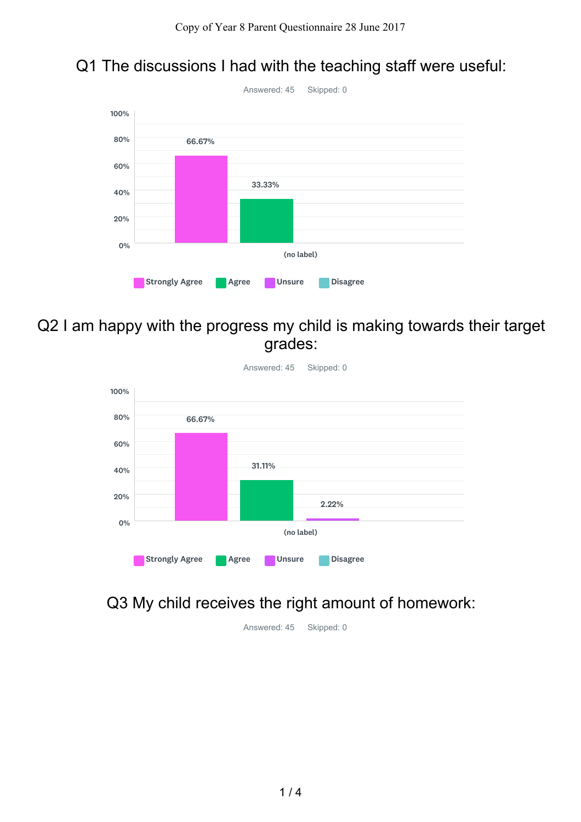### Q1 The discussions I had with the teaching staff were useful:



Q2 I am happy with the progress my child is making towards their target grades:



Q3 My child receives the right amount of homework:

Answered: 45 Skipped: 0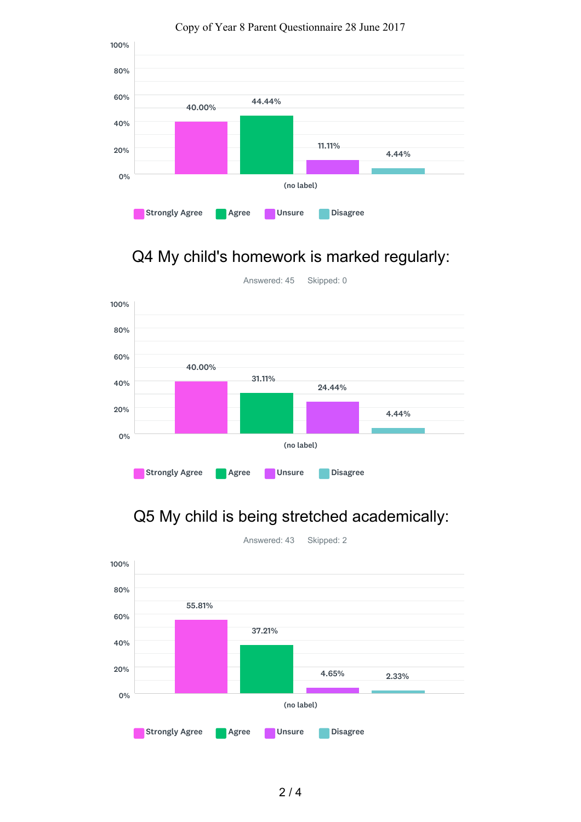

Copy of Year 8 Parent Questionnaire 28 June 2017

# Q4 My child's homework is marked regularly:



Q5 My child is being stretched academically:



2 / 4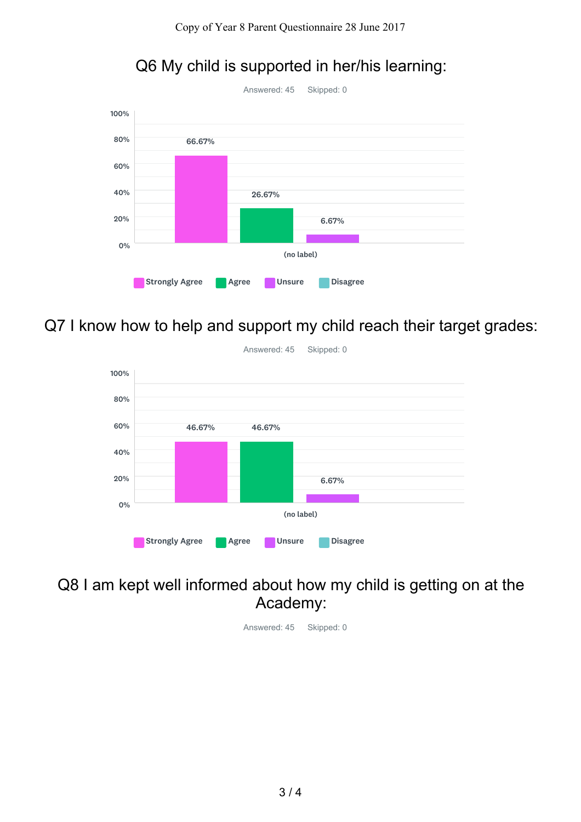

Q6 My child is supported in her/his learning:

Q7 I know how to help and support my child reach their target grades:



#### Q8 I am kept well informed about how my child is getting on at the Academy:

Answered: 45 Skipped: 0